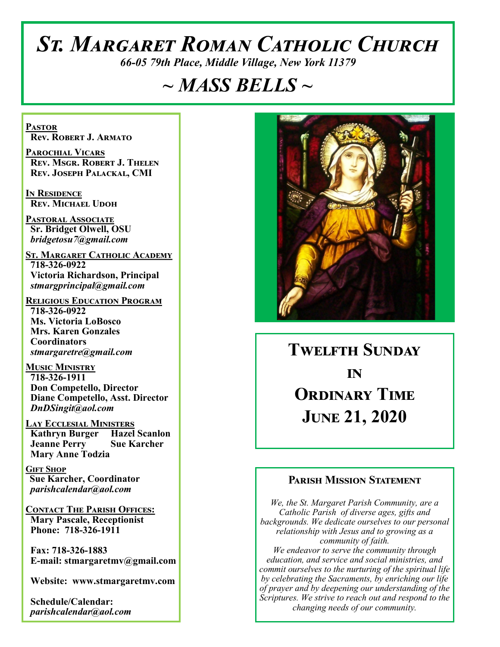# *St. Margaret Roman Catholic Church*

*66-05 79th Place, Middle Village, New York 11379*

# *~ MASS BELLS ~*

**Pastor Rev. Robert J. Armato**

**Parochial Vicars Rev. Msgr. Robert J. Thelen Rev. Joseph Palackal, CMI**

**In Residence Rev. Michael Udoh**

**Pastoral Associate Sr. Bridget Olwell, OSU**  *bridgetosu7@gmail.com*

**St. Margaret Catholic Academy 718-326-0922 Victoria Richardson, Principal**  *stmargprincipal@gmail.com*

**Religious Education Program 718-326-0922 Ms. Victoria LoBosco Mrs. Karen Gonzales Coordinators** *stmargaretre@gmail.com*

**Music Ministry 718-326-1911 Don Competello, Director Diane Competello, Asst. Director** *DnDSingit@aol.com*

**Lay Ecclesial Ministers Kathryn Burger Hazel Scanlon Jeanne Perry Sue Karcher Mary Anne Todzia**

**Gift Shop Sue Karcher, Coordinator** *parishcalendar@aol.com*

**Contact The Parish Offices: Mary Pascale, Receptionist Phone: 718-326-1911** 

 **Fax: 718-326-1883 E-mail: stmargaretmv@gmail.com**

 **Website: www.stmargaretmv.com**

 **Schedule/Calendar:** *parishcalendar@aol.com* 



**Twelfth Sunday in ORDINARY TIME June 21, 2020** 

## **Parish Mission Statement**

*We, the St. Margaret Parish Community, are a Catholic Parish of diverse ages, gifts and backgrounds. We dedicate ourselves to our personal relationship with Jesus and to growing as a community of faith. We endeavor to serve the community through education, and service and social ministries, and commit ourselves to the nurturing of the spiritual life by celebrating the Sacraments, by enriching our life of prayer and by deepening our understanding of the Scriptures. We strive to reach out and respond to the changing needs of our community.*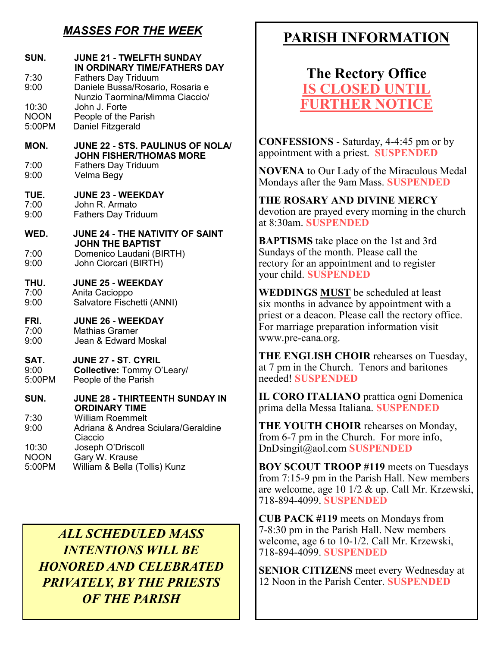# *MASSES FOR THE WEEK*

| <b>JUNE 21 - TWELFTH SUNDAY</b><br>IN ORDINARY TIME/FATHERS DAY<br><b>Fathers Day Triduum</b><br>Daniele Bussa/Rosario, Rosaria e |
|-----------------------------------------------------------------------------------------------------------------------------------|
| Nunzio Taormina/Mimma Ciaccio/<br>John J. Forte<br>People of the Parish<br>Daniel Fitzgerald                                      |
| JUNE 22 - STS. PAULINUS OF NOLA/                                                                                                  |
| <b>JOHN FISHER/THOMAS MORE</b><br><b>Fathers Day Triduum</b><br>Velma Begy                                                        |
| <b>JUNE 23 - WEEKDAY</b><br>John R. Armato<br><b>Fathers Day Triduum</b>                                                          |
| <b>JUNE 24 - THE NATIVITY OF SAINT</b>                                                                                            |
| <b>JOHN THE BAPTIST</b><br>Domenico Laudani (BIRTH)<br>John Ciorcari (BIRTH)                                                      |
| <b>JUNE 25 - WEEKDAY</b><br>Anita Cacioppo<br>Salvatore Fischetti (ANNI)                                                          |
| <b>JUNE 26 - WEEKDAY</b><br><b>Mathias Gramer</b><br>Jean & Edward Moskal                                                         |
| JUNE 27 - ST. CYRIL<br><b>Collective: Tommy O'Leary/</b><br>People of the Parish                                                  |
| <b>JUNE 28 - THIRTEENTH SUNDAY IN</b>                                                                                             |
| <b>ORDINARY TIME</b><br><b>William Roemmelt</b><br>Adriana & Andrea Sciulara/Geraldine<br>Ciaccio                                 |
| Joseph O'Driscoll<br>Gary W. Krause<br>William & Bella (Tollis) Kunz                                                              |
|                                                                                                                                   |

*ALL SCHEDULED MASS INTENTIONS WILL BE HONORED AND CELEBRATED PRIVATELY, BY THE PRIESTS OF THE PARISH*

# **PARISH INFORMATION**

**The Rectory Office IS CLOSED UNT FURTHER NOTICE**

**CONFESSIONS** - Saturday, 4-4:45 pm or by appointment with a priest. **SUSPENDED**

**NOVENA** to Our Lady of the Miraculous Medal Mondays after the 9am Mass. **SUSPENDED**

**THE ROSARY AND DIVINE MERCY** devotion are prayed every morning in the church at 8:30am. **SUSPENDED**

**BAPTISMS** take place on the 1st and 3rd Sundays of the month. Please call the rectory for an appointment and to register your child. **SUSPENDED**

**WEDDINGS MUST** be scheduled at least six months in advance by appointment with a priest or a deacon. Please call the rectory office. For marriage preparation information visit www.pre-cana.org.

**THE ENGLISH CHOIR** rehearses on Tuesday, at 7 pm in the Church. Tenors and baritones needed! **SUSPENDED**

**IL CORO ITALIANO** prattica ogni Domenica prima della Messa Italiana. **SUSPENDED**

**THE YOUTH CHOIR** rehearses on Monday, from 6-7 pm in the Church. For more info, DnDsingit@aol.com **SUSPENDED**

**BOY SCOUT TROOP #119** meets on Tuesdays from 7:15-9 pm in the Parish Hall. New members are welcome, age 10 1/2 & up. Call Mr. Krzewski, 718-894-4099. **SUSPENDED**

**CUB PACK #119** meets on Mondays from 7-8:30 pm in the Parish Hall. New members welcome, age 6 to 10-1/2. Call Mr. Krzewski, 718-894-4099. **SUSPENDED**

**SENIOR CITIZENS** meet every Wednesday at 12 Noon in the Parish Center. **SUSPENDED**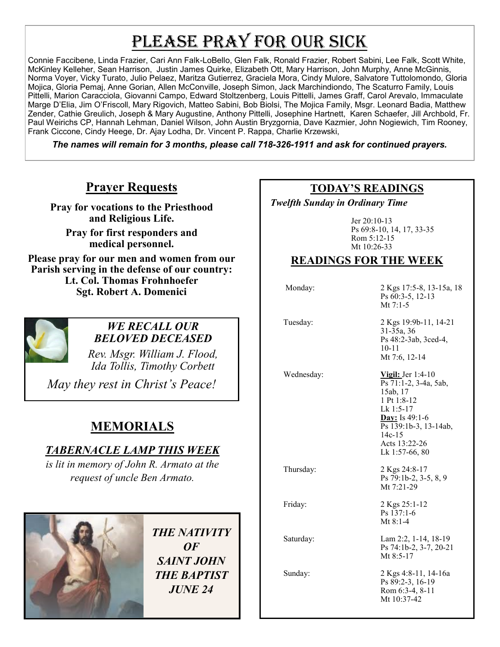# PLEASE PRAY FOR OUR SICK

Connie Faccibene, Linda Frazier, Cari Ann Falk-LoBello, Glen Falk, Ronald Frazier, Robert Sabini, Lee Falk, Scott White, McKinley Kelleher, Sean Harrison, Justin James Quirke, Elizabeth Ott, Mary Harrison, John Murphy, Anne McGinnis, Norma Voyer, Vicky Turato, Julio Pelaez, Maritza Gutierrez, Graciela Mora, Cindy Mulore, Salvatore Tuttolomondo, Gloria Mojica, Gloria Pemaj, Anne Gorian, Allen McConville, Joseph Simon, Jack Marchindiondo, The Scaturro Family, Louis Pittelli, Marion Caracciola, Giovanni Campo, Edward Stoltzenberg, Louis Pittelli, James Graff, Carol Arevalo, Immaculate Marge D'Elia, Jim O'Friscoll, Mary Rigovich, Matteo Sabini, Bob Biolsi, The Mojica Family, Msgr. Leonard Badia, Matthew Zender, Cathie Greulich, Joseph & Mary Augustine, Anthony Pittelli, Josephine Hartnett, Karen Schaefer, Jill Archbold, Fr. Paul Weirichs CP, Hannah Lehman, Daniel Wilson, John Austin Bryzgornia, Dave Kazmier, John Nogiewich, Tim Rooney, Frank Ciccone, Cindy Heege, Dr. Ajay Lodha, Dr. Vincent P. Rappa, Charlie Krzewski,

*The names will remain for 3 months, please call 718-326-1911 and ask for continued prayers.*

## **Prayer Requests**

**Pray for vocations to the Priesthood and Religious Life.** 

**Pray for first responders and medical personnel.**

**Please pray for our men and women from our Parish serving in the defense of our country: Lt. Col. Thomas Frohnhoefer Sgt. Robert A. Domenici** 



### *WE RECALL OUR BELOVED DECEASED*

*Rev. Msgr. William J. Flood, Ida Tollis, Timothy Corbett* 

*May they rest in Christ's Peace!*

# **MEMORIALS**

## *TABERNACLE LAMP THIS WEEK*

*is lit in memory of John R. Armato at the request of uncle Ben Armato.* 



*THE NATIVITY OF SAINT JOHN THE BAPTIST JUNE 24* 

## **TODAY'S READINGS**

 *Twelfth Sunday in Ordinary Time*

Jer 20:10-13 Ps 69:8-10, 14, 17, 33-35 Rom 5:12-15 Mt 10:26-33

> 10-11 Mt 7:6, 12-14

## **READINGS FOR THE WEEK**

 Monday: 2 Kgs 17:5-8, 13-15a, 18 Ps 60:3-5, 12-13 Mt 7:1-5 Tuesday: 2 Kgs 19:9b-11, 14-21 31-35a, 36 Ps 48:2-3ab, 3ced-4,

 Wednesday: **Vigil:** Jer 1:4-10  $\overline{Ps}$  71:1-2, 3-4a, 5ab, 15ab, 17 1 Pt 1:8-12 Lk 1:5-17 **Day:** Is 49:1-6 Ps 139:1b-3, 13-14ab, 14c-15 Acts 13:22-26 Lk 1:57-66, 80

Thursday: 2 Kgs 24:8-17

Ps 79:1b-2, 3-5, 8, 9 Mt 7:21-29

Friday: 2 Kgs 25:1-12 Ps 137:1-6 Mt 8:1-4

 Saturday: Lam 2:2, 1-14, 18-19 Ps 74:1b-2, 3-7, 20-21 Mt 8:5-17

 Sunday: 2 Kgs 4:8-11, 14-16a Ps 89:2-3, 16-19 Rom 6:3-4, 8-11 Mt 10:37-42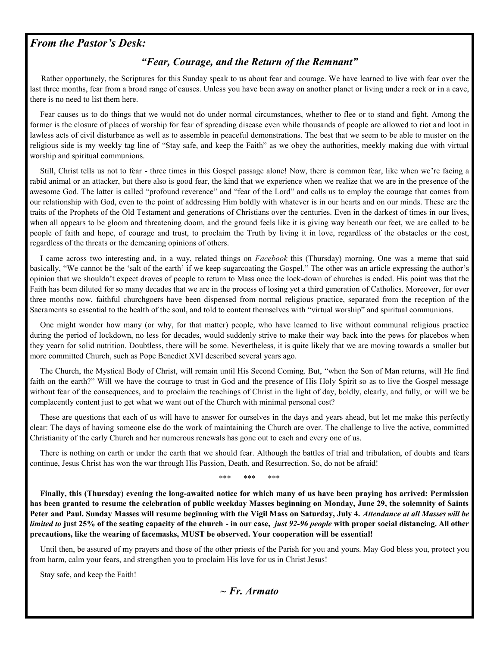### *From the Pastor's Desk:*

#### *"Fear, Courage, and the Return of the Remnant"*

 Rather opportunely, the Scriptures for this Sunday speak to us about fear and courage. We have learned to live with fear over the last three months, fear from a broad range of causes. Unless you have been away on another planet or living under a rock or in a cave, there is no need to list them here.

 Fear causes us to do things that we would not do under normal circumstances, whether to flee or to stand and fight. Among the former is the closure of places of worship for fear of spreading disease even while thousands of people are allowed to riot and loot in lawless acts of civil disturbance as well as to assemble in peaceful demonstrations. The best that we seem to be able to muster on the religious side is my weekly tag line of "Stay safe, and keep the Faith" as we obey the authorities, meekly making due with virtual worship and spiritual communions.

 Still, Christ tells us not to fear - three times in this Gospel passage alone! Now, there is common fear, like when we're facing a rabid animal or an attacker, but there also is good fear, the kind that we experience when we realize that we are in the presence of the awesome God. The latter is called "profound reverence" and "fear of the Lord" and calls us to employ the courage that comes from our relationship with God, even to the point of addressing Him boldly with whatever is in our hearts and on our minds. These are the traits of the Prophets of the Old Testament and generations of Christians over the centuries. Even in the darkest of times in our lives, when all appears to be gloom and threatening doom, and the ground feels like it is giving way beneath our feet, we are called to be people of faith and hope, of courage and trust, to proclaim the Truth by living it in love, regardless of the obstacles or the cost, regardless of the threats or the demeaning opinions of others.

 I came across two interesting and, in a way, related things on *Facebook* this (Thursday) morning. One was a meme that said basically, "We cannot be the 'salt of the earth' if we keep sugarcoating the Gospel." The other was an article expressing the author's opinion that we shouldn't expect droves of people to return to Mass once the lock-down of churches is ended. His point was that the Faith has been diluted for so many decades that we are in the process of losing yet a third generation of Catholics. Moreover, for over three months now, faithful churchgoers have been dispensed from normal religious practice, separated from the reception of the Sacraments so essential to the health of the soul, and told to content themselves with "virtual worship" and spiritual communions.

 One might wonder how many (or why, for that matter) people, who have learned to live without communal religious practice during the period of lockdown, no less for decades, would suddenly strive to make their way back into the pews for placebos when they yearn for solid nutrition. Doubtless, there will be some. Nevertheless, it is quite likely that we are moving towards a smaller but more committed Church, such as Pope Benedict XVI described several years ago.

 The Church, the Mystical Body of Christ, will remain until His Second Coming. But, "when the Son of Man returns, will He find faith on the earth?" Will we have the courage to trust in God and the presence of His Holy Spirit so as to live the Gospel message without fear of the consequences, and to proclaim the teachings of Christ in the light of day, boldly, clearly, and fully, or will we be complacently content just to get what we want out of the Church with minimal personal cost?

 These are questions that each of us will have to answer for ourselves in the days and years ahead, but let me make this perfectly clear: The days of having someone else do the work of maintaining the Church are over. The challenge to live the active, committed Christianity of the early Church and her numerous renewals has gone out to each and every one of us.

 There is nothing on earth or under the earth that we should fear. Although the battles of trial and tribulation, of doubts and fears continue, Jesus Christ has won the war through His Passion, Death, and Resurrection. So, do not be afraid!

\*\*\* \*\*\* \*\*\*

 **Finally, this (Thursday) evening the long-awaited notice for which many of us have been praying has arrived: Permission has been granted to resume the celebration of public weekday Masses beginning on Monday, June 29, the solemnity of Saints Peter and Paul. Sunday Masses will resume beginning with the Vigil Mass on Saturday, July 4.** *Attendance at all Masses will be limited to* **just 25% of the seating capacity of the church - in our case,** *just 92-96 people* **with proper social distancing. All other precautions, like the wearing of facemasks, MUST be observed. Your cooperation will be essential!**

 Until then, be assured of my prayers and those of the other priests of the Parish for you and yours. May God bless you, protect you from harm, calm your fears, and strengthen you to proclaim His love for us in Christ Jesus!

Stay safe, and keep the Faith!

*~ Fr. Armato*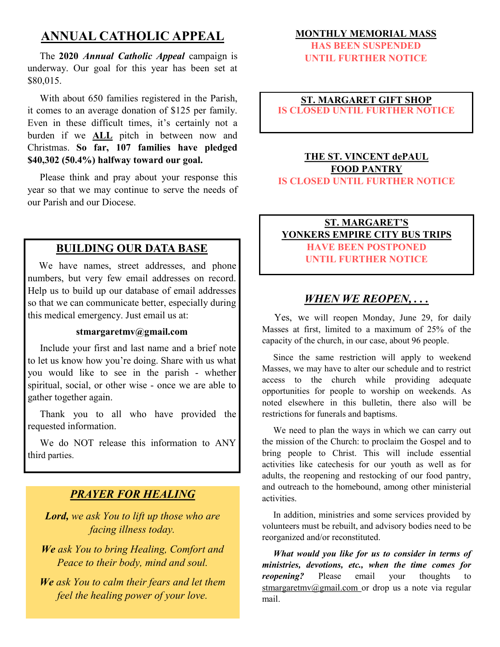# **ANNUAL CATHOLIC APPEAL**

 The **2020** *Annual Catholic Appeal* campaign is underway. Our goal for this year has been set at \$80,015.

 With about 650 families registered in the Parish, it comes to an average donation of \$125 per family. Even in these difficult times, it's certainly not a burden if we **ALL** pitch in between now and Christmas. **So far, 107 families have pledged \$40,302 (50.4%) halfway toward our goal.**

 Please think and pray about your response this year so that we may continue to serve the needs of our Parish and our Diocese.

## **BUILDING OUR DATA BASE**

We have names, street addresses, and phone numbers, but very few email addresses on record. Help us to build up our database of email addresses so that we can communicate better, especially during this medical emergency. Just email us at:

#### **stmargaretmv@gmail.com**

 Include your first and last name and a brief note to let us know how you're doing. Share with us what you would like to see in the parish - whether spiritual, social, or other wise - once we are able to gather together again.

Thank you to all who have provided the requested information.

 We do NOT release this information to ANY third parties.

### *PRAYER FOR HEALING*

*Lord, we ask You to lift up those who are facing illness today.*

*We ask You to bring Healing, Comfort and Peace to their body, mind and soul.*

*We ask You to calm their fears and let them feel the healing power of your love.*

#### **MONTHLY MEMORIAL MASS**

**HAS BEEN SUSPENDED UNTIL FURTHER NOTICE**

#### **ST. MARGARET GIFT SHOP IS CLOSED UNTIL FURTHER NOTICE**

#### **THE ST. VINCENT dePAUL FOOD PANTRY IS CLOSED UNTIL FURTHER NOTICE**

#### **ST. MARGARET'S YONKERS EMPIRE CITY BUS TRIPS HAVE BEEN POSTPONED UNTIL FURTHER NOTICE**

## *WHEN WE REOPEN, . . .*

 Yes, we will reopen Monday, June 29, for daily Masses at first, limited to a maximum of 25% of the capacity of the church, in our case, about 96 people.

 Since the same restriction will apply to weekend Masses, we may have to alter our schedule and to restrict access to the church while providing adequate opportunities for people to worship on weekends. As noted elsewhere in this bulletin, there also will be restrictions for funerals and baptisms.

 We need to plan the ways in which we can carry out the mission of the Church: to proclaim the Gospel and to bring people to Christ. This will include essential activities like catechesis for our youth as well as for adults, the reopening and restocking of our food pantry, and outreach to the homebound, among other ministerial activities.

 In addition, ministries and some services provided by volunteers must be rebuilt, and advisory bodies need to be reorganized and/or reconstituted.

 *What would you like for us to consider in terms of ministries, devotions, etc., when the time comes for reopening?* Please email your thoughts to stmargaretmv@gmail.com or drop us a note via regular mail.